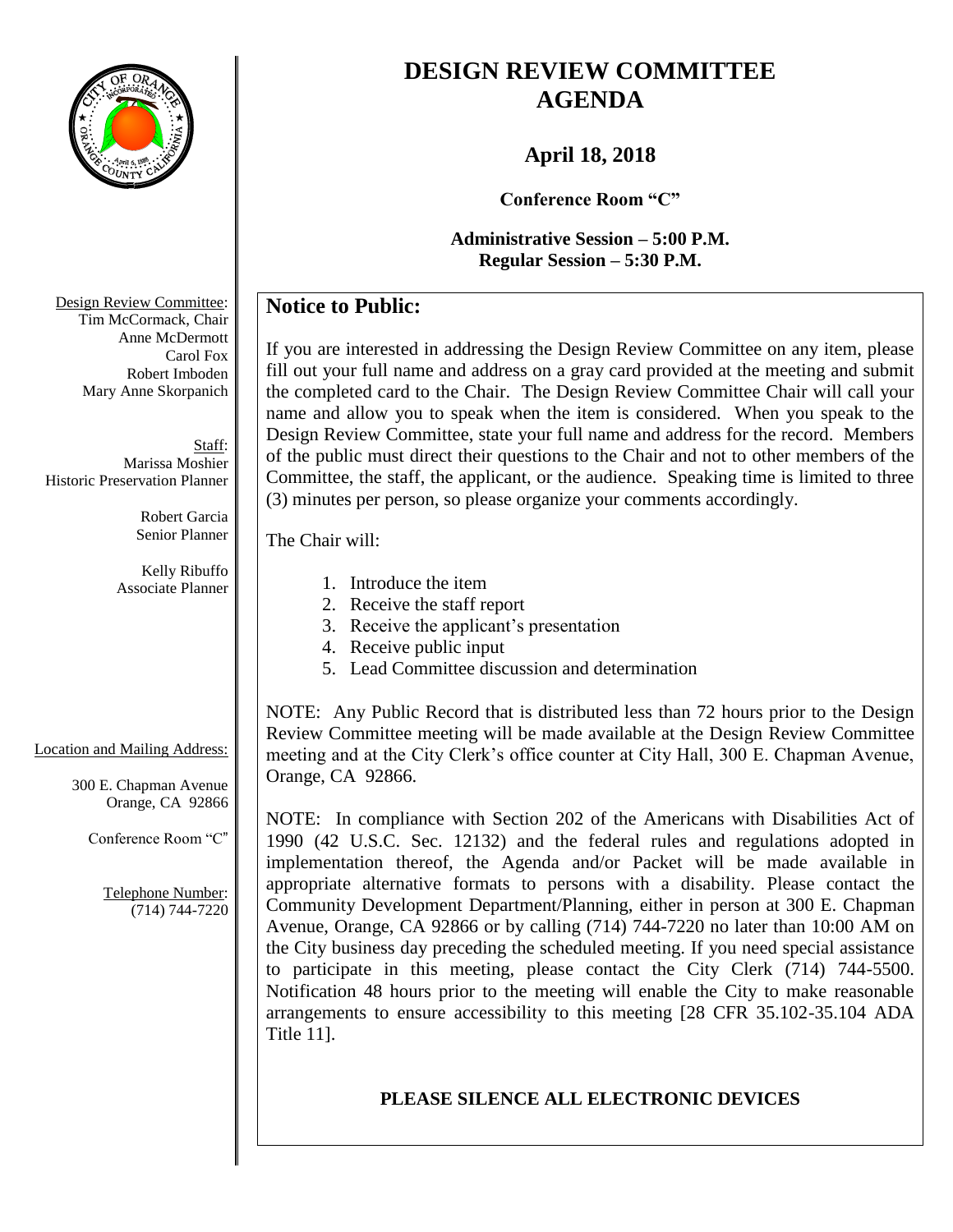

# **DESIGN REVIEW COMMITTEE AGENDA**

# **April 18, 2018**

**Conference Room "C"**

**Administrative Session – 5:00 P.M. Regular Session – 5:30 P.M.**

# **Notice to Public:**

If you are interested in addressing the Design Review Committee on any item, please fill out your full name and address on a gray card provided at the meeting and submit the completed card to the Chair. The Design Review Committee Chair will call your name and allow you to speak when the item is considered. When you speak to the Design Review Committee, state your full name and address for the record. Members of the public must direct their questions to the Chair and not to other members of the Committee, the staff, the applicant, or the audience. Speaking time is limited to three (3) minutes per person, so please organize your comments accordingly.

The Chair will:

Location and Mailing Address:

300 E. Chapman Avenue Orange, CA 92866

Conference Room "C"

Telephone Number: (714) 744-7220

- 1. Introduce the item
- 2. Receive the staff report
- 3. Receive the applicant's presentation
- 4. Receive public input
- 5. Lead Committee discussion and determination

NOTE: Any Public Record that is distributed less than 72 hours prior to the Design Review Committee meeting will be made available at the Design Review Committee meeting and at the City Clerk's office counter at City Hall, 300 E. Chapman Avenue, Orange, CA 92866.

NOTE: In compliance with Section 202 of the Americans with Disabilities Act of 1990 (42 U.S.C. Sec. 12132) and the federal rules and regulations adopted in implementation thereof, the Agenda and/or Packet will be made available in appropriate alternative formats to persons with a disability. Please contact the Community Development Department/Planning, either in person at 300 E. Chapman Avenue, Orange, CA 92866 or by calling (714) 744-7220 no later than 10:00 AM on the City business day preceding the scheduled meeting. If you need special assistance to participate in this meeting, please contact the City Clerk (714) 744-5500. Notification 48 hours prior to the meeting will enable the City to make reasonable arrangements to ensure accessibility to this meeting [28 CFR 35.102-35.104 ADA Title 11].

# **PLEASE SILENCE ALL ELECTRONIC DEVICES**

Design Review Committee: Tim McCormack, Chair Anne McDermott Carol Fox Robert Imboden Mary Anne Skorpanich

Staff: Marissa Moshier Historic Preservation Planner

> Robert Garcia Senior Planner

Kelly Ribuffo Associate Planner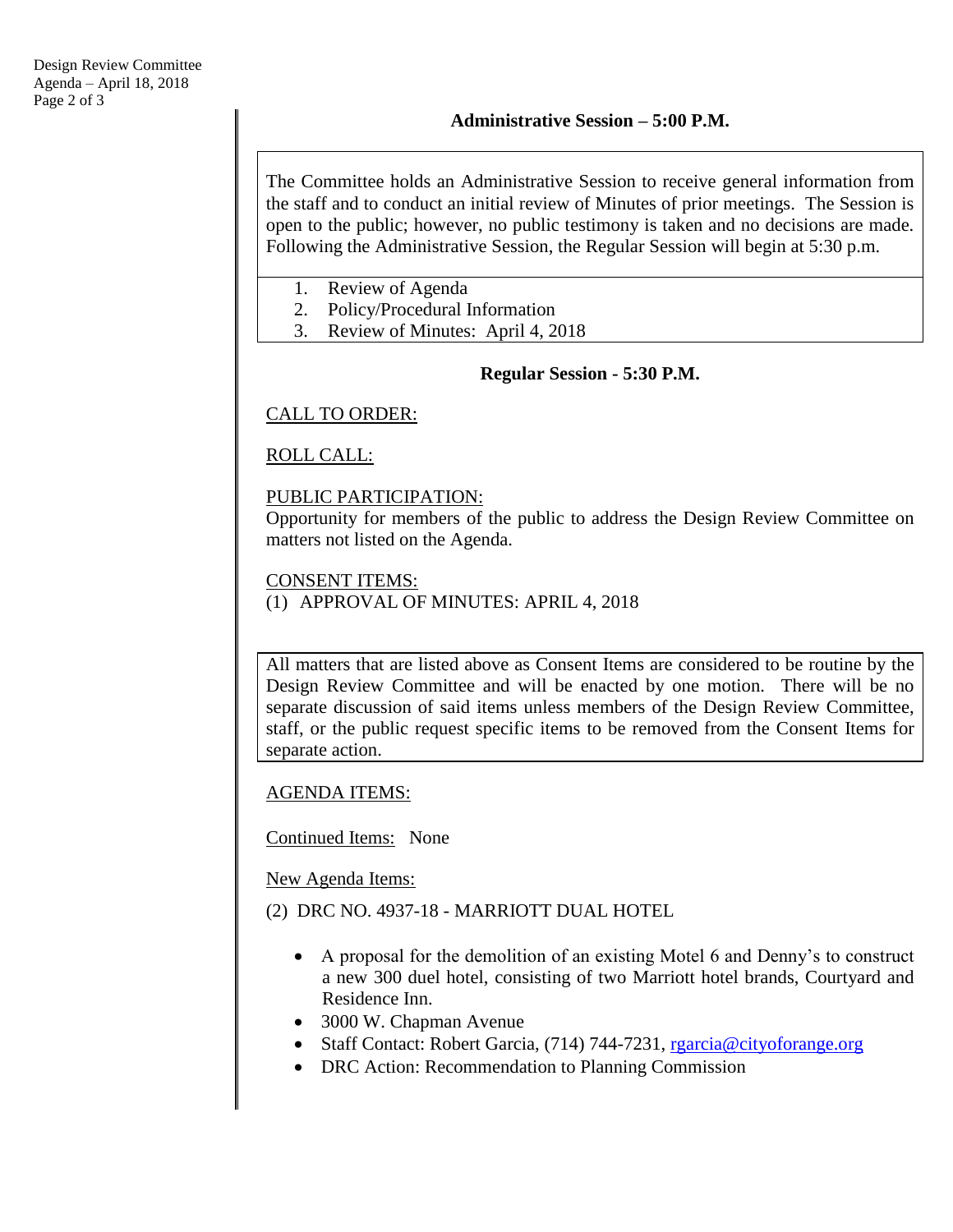The Committee holds an Administrative Session to receive general information from the staff and to conduct an initial review of Minutes of prior meetings. The Session is open to the public; however, no public testimony is taken and no decisions are made. Following the Administrative Session, the Regular Session will begin at 5:30 p.m.

- 1. Review of Agenda
- 2. Policy/Procedural Information
- 3. Review of Minutes: April 4, 2018

### **Regular Session - 5:30 P.M.**

### CALL TO ORDER:

ROLL CALL:

### PUBLIC PARTICIPATION:

Opportunity for members of the public to address the Design Review Committee on matters not listed on the Agenda.

### CONSENT ITEMS:

(1) APPROVAL OF MINUTES: APRIL 4, 2018

All matters that are listed above as Consent Items are considered to be routine by the Design Review Committee and will be enacted by one motion. There will be no separate discussion of said items unless members of the Design Review Committee, staff, or the public request specific items to be removed from the Consent Items for separate action.

AGENDA ITEMS:

Continued Items: None

New Agenda Items:

(2) DRC NO. 4937-18 - MARRIOTT DUAL HOTEL

- A proposal for the demolition of an existing Motel 6 and Denny's to construct a new 300 duel hotel, consisting of two Marriott hotel brands, Courtyard and Residence Inn.
- 3000 W. Chapman Avenue
- Staff Contact: Robert Garcia, (714) 744-7231, regarcia@cityoforange.org
- DRC Action: Recommendation to Planning Commission